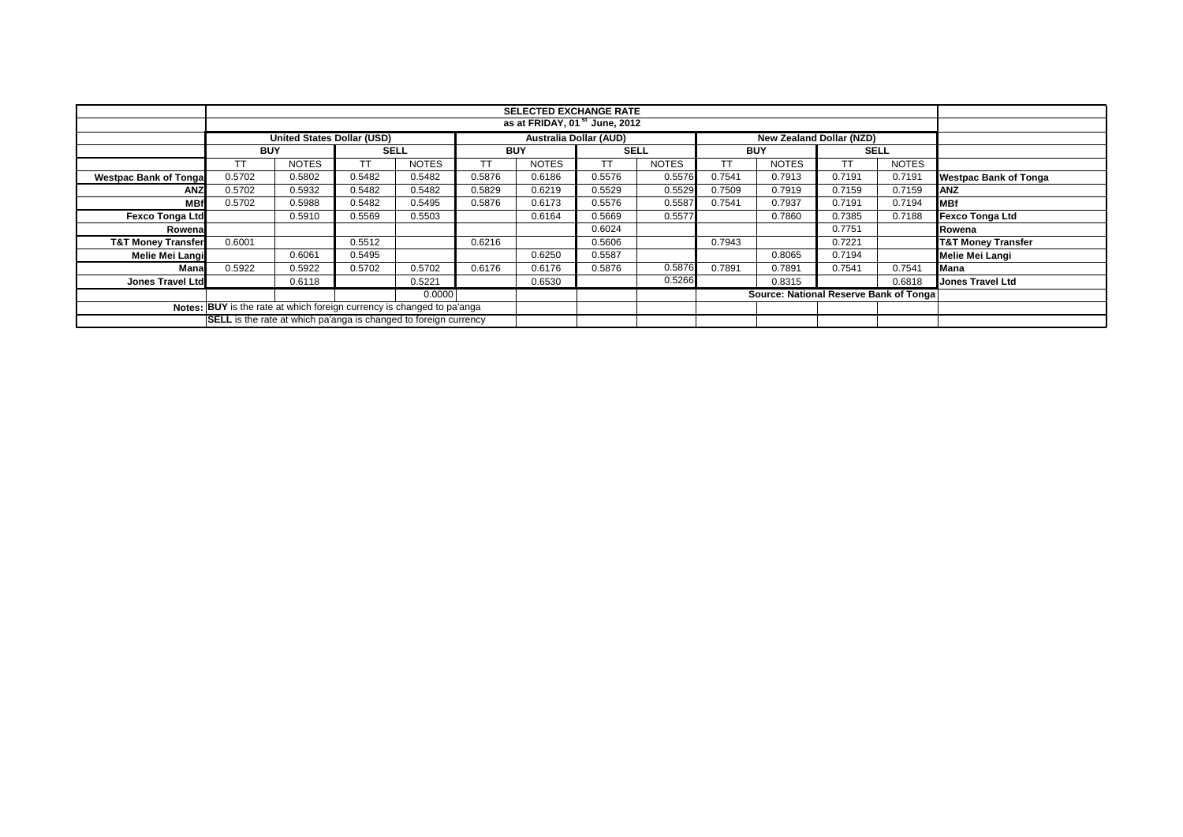|                               |                                                                         |                                   |             |              |                          | <b>SELECTED EXCHANGE RATE</b>          |             |              |            |              |        |              |                               |
|-------------------------------|-------------------------------------------------------------------------|-----------------------------------|-------------|--------------|--------------------------|----------------------------------------|-------------|--------------|------------|--------------|--------|--------------|-------------------------------|
|                               | as at FRIDAY, 01 <sup>st</sup> June, 2012                               |                                   |             |              |                          |                                        |             |              |            |              |        |              |                               |
|                               |                                                                         | <b>United States Dollar (USD)</b> |             |              | New Zealand Dollar (NZD) |                                        |             |              |            |              |        |              |                               |
|                               | <b>BUY</b>                                                              |                                   | <b>SELL</b> |              | <b>BUY</b>               |                                        | <b>SELL</b> |              | <b>BUY</b> |              |        | <b>SELL</b>  |                               |
|                               |                                                                         | <b>NOTES</b>                      | ТT          | <b>NOTES</b> | TT                       | <b>NOTES</b>                           | TТ          | <b>NOTES</b> | ТT         | <b>NOTES</b> | ТT     | <b>NOTES</b> |                               |
| <b>Westpac Bank of Tonga</b>  | 0.5702                                                                  | 0.5802                            | 0.5482      | 0.5482       | 0.5876                   | 0.6186                                 | 0.5576      | 0.5576       | 0.7541     | 0.7913       | 0.7191 | 0.7191       | <b>Westpac Bank of Tonga</b>  |
| <b>ANZ</b>                    | 0.5702                                                                  | 0.5932                            | 0.5482      | 0.5482       | 0.5829                   | 0.6219                                 | 0.5529      | 0.5529       | 0.7509     | 0.7919       | 0.7159 | 0.7159       | <b>ANZ</b>                    |
| <b>MB</b>                     | 0.5702                                                                  | 0.5988                            | 0.5482      | 0.5495       | 0.5876                   | 0.6173                                 | 0.5576      | 0.5587       | 0.7541     | 0.7937       | 0.7191 | 0.7194       | <b>MBf</b>                    |
| <b>Fexco Tonga Ltd</b>        |                                                                         | 0.5910                            | 0.5569      | 0.5503       |                          | 0.6164                                 | 0.5669      | 0.5577       |            | 0.7860       | 0.7385 | 0.7188       | Fexco Tonga Ltd               |
| Rowena                        |                                                                         |                                   |             |              |                          |                                        | 0.6024      |              |            |              | 0.7751 |              | Rowena                        |
| <b>T&amp;T Money Transfer</b> | 0.6001                                                                  |                                   | 0.5512      |              | 0.6216                   |                                        | 0.5606      |              | 0.7943     |              | 0.7221 |              | <b>T&amp;T Money Transfer</b> |
| Melie Mei Langi               |                                                                         | 0.6061                            | 0.5495      |              |                          | 0.6250                                 | 0.5587      |              |            | 0.8065       | 0.7194 |              | Melie Mei Langi               |
| Mana                          | 0.5922                                                                  | 0.5922                            | 0.5702      | 0.5702       | 0.6176                   | 0.6176                                 | 0.5876      | 0.5876       | 0.7891     | 0.7891       | 0.7541 | 0.7541       | Mana                          |
| Jones Travel Ltd              |                                                                         | 0.6118                            |             | 0.5221       |                          | 0.6530                                 |             | 0.5266       |            | 0.8315       |        | 0.6818       | <b>Jones Travel Ltd</b>       |
|                               |                                                                         |                                   |             |              |                          | Source: National Reserve Bank of Tonga |             |              |            |              |        |              |                               |
|                               | Notes: BUY is the rate at which foreign currency is changed to pa'anga  |                                   |             |              |                          |                                        |             |              |            |              |        |              |                               |
|                               | <b>SELL</b> is the rate at which pa'anga is changed to foreign currency |                                   |             |              |                          |                                        |             |              |            |              |        |              |                               |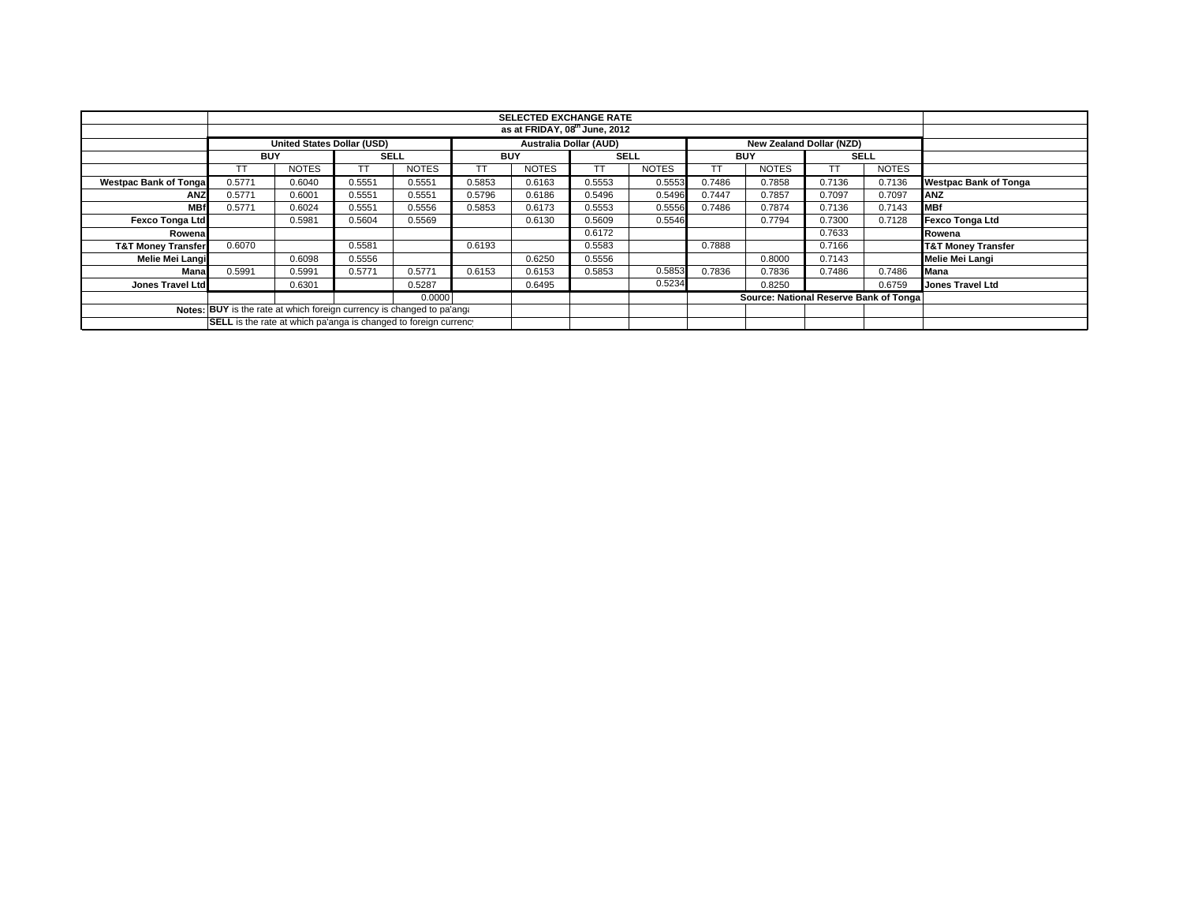|                                                                        |                                                                  |              |             |                               |            |                                        | <b>SELECTED EXCHANGE RATE</b> |              |            |              |             |              |                               |
|------------------------------------------------------------------------|------------------------------------------------------------------|--------------|-------------|-------------------------------|------------|----------------------------------------|-------------------------------|--------------|------------|--------------|-------------|--------------|-------------------------------|
|                                                                        | as at FRIDAY, 08th June, 2012                                    |              |             |                               |            |                                        |                               |              |            |              |             |              |                               |
|                                                                        | <b>United States Dollar (USD)</b>                                |              |             | <b>Australia Dollar (AUD)</b> |            |                                        | New Zealand Dollar (NZD)      |              |            |              |             |              |                               |
|                                                                        | <b>BUY</b>                                                       |              | <b>SELL</b> |                               | <b>BUY</b> |                                        | <b>SELL</b>                   |              | <b>BUY</b> |              | <b>SELL</b> |              |                               |
|                                                                        |                                                                  | <b>NOTES</b> | TΤ          | <b>NOTES</b>                  |            | <b>NOTES</b>                           | TТ                            | <b>NOTES</b> | TT         | <b>NOTES</b> | TТ          | <b>NOTES</b> |                               |
| <b>Westpac Bank of Tonga</b>                                           | 0.5771                                                           | 0.6040       | 0.5551      | 0.5551                        | 0.5853     | 0.6163                                 | 0.5553                        | 0.5553       | 0.7486     | 0.7858       | 0.7136      | 0.7136       | <b>Westpac Bank of Tonga</b>  |
| <b>ANZ</b>                                                             | 0.5771                                                           | 0.6001       | 0.5551      | 0.5551                        | 0.5796     | 0.6186                                 | 0.5496                        | 0.5496       | 0.7447     | 0.7857       | 0.7097      | 0.7097       | ANZ                           |
| <b>MBf</b>                                                             | 0.5771                                                           | 0.6024       | 0.5551      | 0.5556                        | 0.5853     | 0.6173                                 | 0.5553                        | 0.5556       | 0.7486     | 0.7874       | 0.7136      | 0.7143       | <b>MBf</b>                    |
| <b>Fexco Tonga Ltd</b>                                                 |                                                                  | 0.5981       | 0.5604      | 0.5569                        |            | 0.6130                                 | 0.5609                        | 0.5546       |            | 0.7794       | 0.7300      | 0.7128       | Fexco Tonga Ltd               |
| Rowena                                                                 |                                                                  |              |             |                               |            |                                        | 0.6172                        |              |            |              | 0.7633      |              | Rowena                        |
| <b>T&amp;T Money Transfer</b>                                          | 0.6070                                                           |              | 0.5581      |                               | 0.6193     |                                        | 0.5583                        |              | 0.7888     |              | 0.7166      |              | <b>T&amp;T Money Transfer</b> |
| Melie Mei Langi                                                        |                                                                  | 0.6098       | 0.5556      |                               |            | 0.6250                                 | 0.5556                        |              |            | 0.8000       | 0.7143      |              | Melie Mei Langi               |
| Mana                                                                   | 0.5991                                                           | 0.5991       | 0.5771      | 0.5771                        | 0.6153     | 0.6153                                 | 0.5853                        | 0.5853       | 0.7836     | 0.7836       | 0.7486      | 0.7486       | <b>Mana</b>                   |
| Jones Travel Ltd                                                       |                                                                  | 0.6301       |             | 0.5287                        |            | 0.6495                                 |                               | 0.5234       |            | 0.8250       |             | 0.6759       | <b>Jones Travel Ltd</b>       |
|                                                                        |                                                                  |              |             |                               |            | Source: National Reserve Bank of Tonga |                               |              |            |              |             |              |                               |
| Notes: BUY is the rate at which foreign currency is changed to pa'ang: |                                                                  |              |             |                               |            |                                        |                               |              |            |              |             |              |                               |
|                                                                        | SELL is the rate at which pa'anga is changed to foreign currency |              |             |                               |            |                                        |                               |              |            |              |             |              |                               |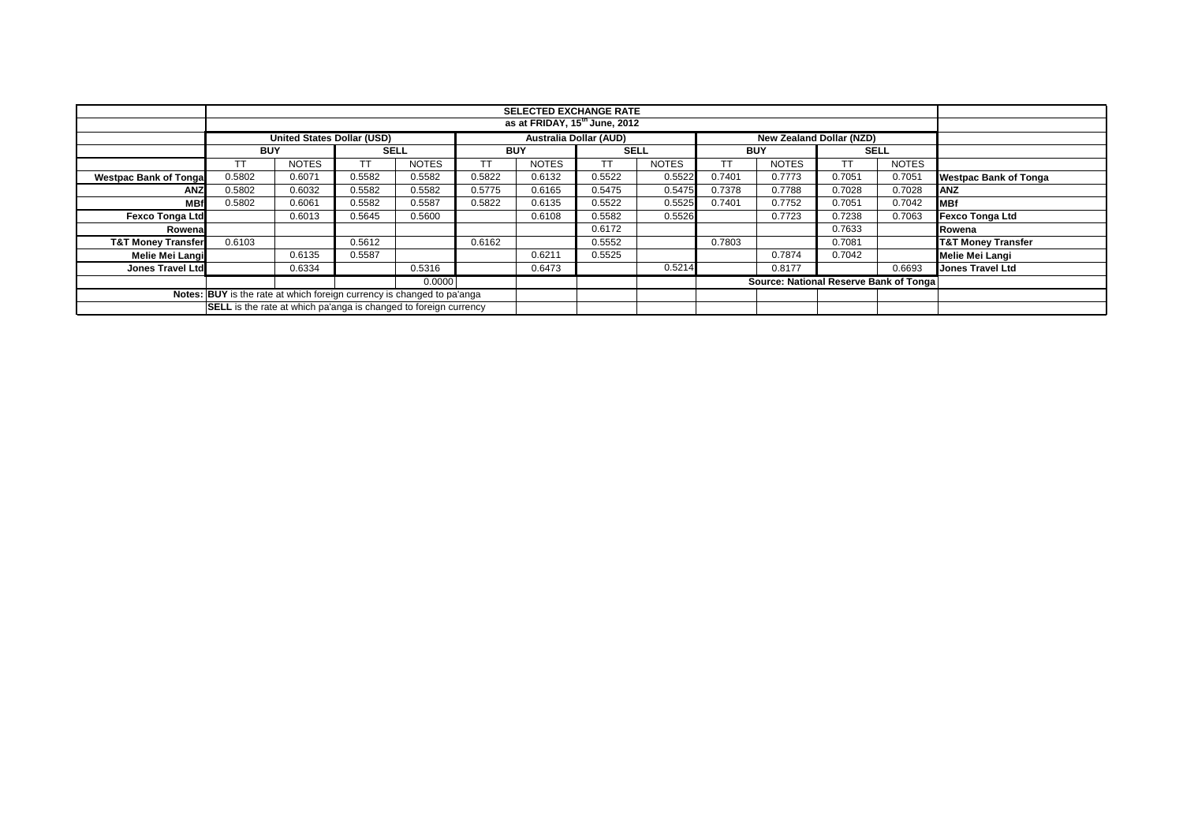|                               |                                                                         | <b>SELECTED EXCHANGE RATE</b>     |             |              |            |                               |             |              |            |                                        |             |              |                               |
|-------------------------------|-------------------------------------------------------------------------|-----------------------------------|-------------|--------------|------------|-------------------------------|-------------|--------------|------------|----------------------------------------|-------------|--------------|-------------------------------|
|                               |                                                                         | as at FRIDAY, 15th June, 2012     |             |              |            |                               |             |              |            |                                        |             |              |                               |
|                               |                                                                         | <b>United States Dollar (USD)</b> |             |              |            | <b>Australia Dollar (AUD)</b> |             |              |            | New Zealand Dollar (NZD)               |             |              |                               |
|                               | <b>BUY</b>                                                              |                                   | <b>SELL</b> |              | <b>BUY</b> |                               | <b>SELL</b> |              | <b>BUY</b> |                                        | <b>SELL</b> |              |                               |
|                               |                                                                         | <b>NOTES</b>                      | TT          | <b>NOTES</b> |            | <b>NOTES</b>                  | ТT          | <b>NOTES</b> |            | <b>NOTES</b>                           | TT          | <b>NOTES</b> |                               |
| <b>Westpac Bank of Tonga</b>  | 0.5802                                                                  | 0.6071                            | 0.5582      | 0.5582       | 0.5822     | 0.6132                        | 0.5522      | 0.5522       | 0.7401     | 0.7773                                 | 0.7051      | 0.7051       | <b>Westpac Bank of Tonga</b>  |
| <b>ANZ</b>                    | 0.5802                                                                  | 0.6032                            | 0.5582      | 0.5582       | 0.5775     | 0.6165                        | 0.5475      | 0.5475       | 0.7378     | 0.7788                                 | 0.7028      | 0.7028       | <b>ANZ</b>                    |
| <b>MB</b>                     | 0.5802                                                                  | 0.6061                            | 0.5582      | 0.5587       | 0.5822     | 0.6135                        | 0.5522      | 0.5525       | 0.7401     | 0.7752                                 | 0.7051      | 0.7042       | <b>MBf</b>                    |
| <b>Fexco Tonga Ltd</b>        |                                                                         | 0.6013                            | 0.5645      | 0.5600       |            | 0.6108                        | 0.5582      | 0.5526       |            | 0.7723                                 | 0.7238      | 0.7063       | <b>Fexco Tonga Ltd</b>        |
| Rowena                        |                                                                         |                                   |             |              |            |                               | 0.6172      |              |            |                                        | 0.7633      |              | Rowena                        |
| <b>T&amp;T Money Transfer</b> | 0.6103                                                                  |                                   | 0.5612      |              | 0.6162     |                               | 0.5552      |              | 0.7803     |                                        | 0.7081      |              | <b>T&amp;T Money Transfer</b> |
| Melie Mei Langi               |                                                                         | 0.6135                            | 0.5587      |              |            | 0.6211                        | 0.5525      |              |            | 0.7874                                 | 0.7042      |              | Melie Mei Langi               |
| Jones Travel Ltd              |                                                                         | 0.6334                            |             | 0.5316       |            | 0.6473                        |             | 0.5214       |            | 0.8177                                 |             | 0.6693       | <b>Jones Travel Ltd</b>       |
|                               |                                                                         |                                   |             | 0.0000       |            |                               |             |              |            | Source: National Reserve Bank of Tonga |             |              |                               |
|                               | Notes: BUY is the rate at which foreign currency is changed to pa'anga  |                                   |             |              |            |                               |             |              |            |                                        |             |              |                               |
|                               | <b>SELL</b> is the rate at which pa'anga is changed to foreign currency |                                   |             |              |            |                               |             |              |            |                                        |             |              |                               |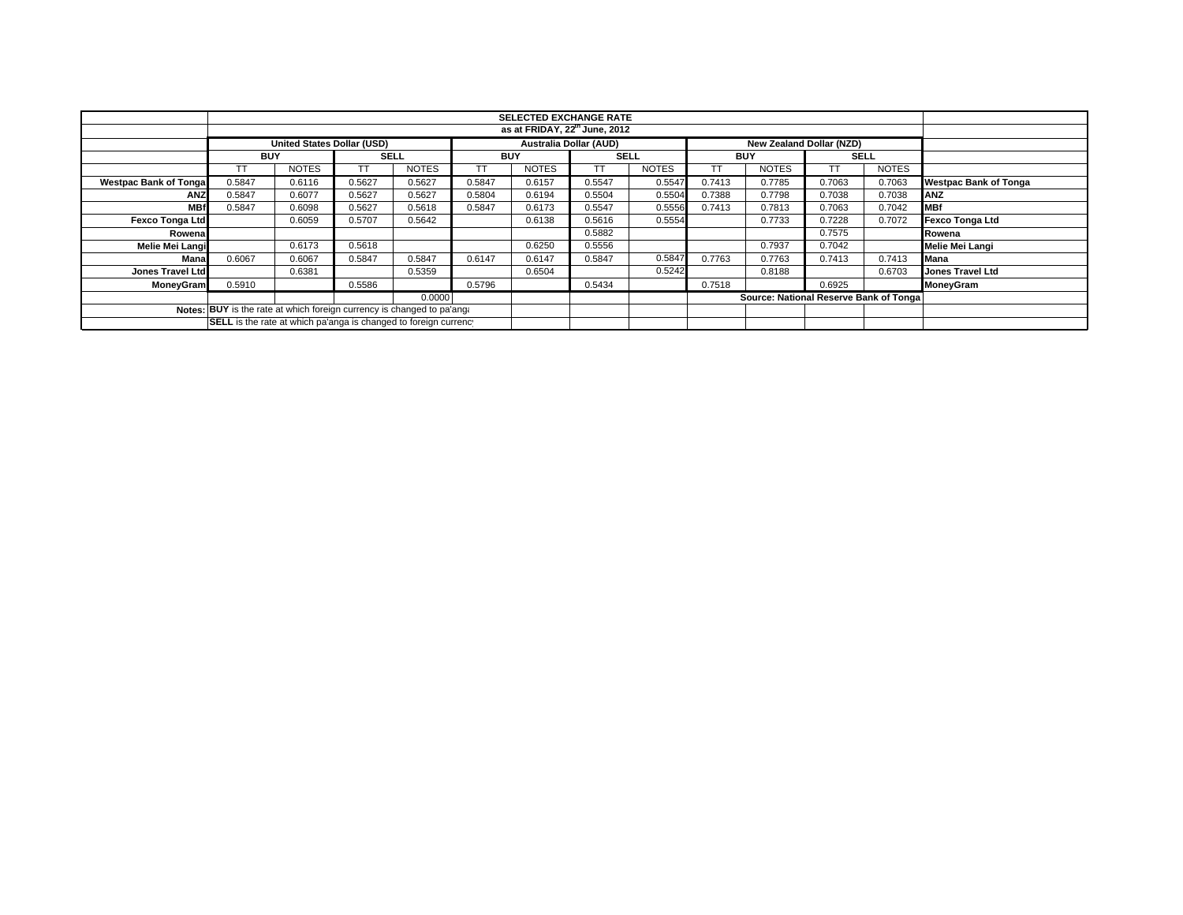|                                                                        | <b>SELECTED EXCHANGE RATE</b> |                            |             |              |            |                               |             |              |            |                                        |             |              |                              |
|------------------------------------------------------------------------|-------------------------------|----------------------------|-------------|--------------|------------|-------------------------------|-------------|--------------|------------|----------------------------------------|-------------|--------------|------------------------------|
| as at FRIDAY, 22 <sup>th</sup> June, 2012                              |                               |                            |             |              |            |                               |             |              |            |                                        |             |              |                              |
|                                                                        |                               | United States Dollar (USD) |             |              |            | <b>Australia Dollar (AUD)</b> |             |              |            | New Zealand Dollar (NZD)               |             |              |                              |
|                                                                        | <b>BUY</b>                    |                            | <b>SELL</b> |              | <b>BUY</b> |                               | <b>SELL</b> |              | <b>BUY</b> |                                        | <b>SELL</b> |              |                              |
|                                                                        | <b>TT</b>                     | <b>NOTES</b>               |             | <b>NOTES</b> | TT         | <b>NOTES</b>                  | ТT          | <b>NOTES</b> |            | <b>NOTES</b>                           |             | <b>NOTES</b> |                              |
| <b>Westpac Bank of Tongal</b>                                          | 0.5847                        | 0.6116                     | 0.5627      | 0.5627       | 0.5847     | 0.6157                        | 0.5547      | 0.5547       | 0.7413     | 0.7785                                 | 0.7063      | 0.7063       | <b>Westpac Bank of Tonga</b> |
| <b>ANZ</b>                                                             | 0.5847                        | 0.6077                     | 0.5627      | 0.5627       | 0.5804     | 0.6194                        | 0.5504      | 0.5504       | 0.7388     | 0.7798                                 | 0.7038      | 0.7038       | ANZ                          |
| <b>MBf</b>                                                             | 0.5847                        | 0.6098                     | 0.5627      | 0.5618       | 0.5847     | 0.6173                        | 0.5547      | 0.5556       | 0.7413     | 0.7813                                 | 0.7063      | 0.7042       | <b>IMBf</b>                  |
| <b>Fexco Tonga Ltd</b>                                                 |                               | 0.6059                     | 0.5707      | 0.5642       |            | 0.6138                        | 0.5616      | 0.5554       |            | 0.7733                                 | 0.7228      | 0.7072       | <b>Fexco Tonga Ltd</b>       |
| Rowenal                                                                |                               |                            |             |              |            |                               | 0.5882      |              |            |                                        | 0.7575      |              | Rowena                       |
| Melie Mei Langi                                                        |                               | 0.6173                     | 0.5618      |              |            | 0.6250                        | 0.5556      |              |            | 0.7937                                 | 0.7042      |              | Melie Mei Langi              |
| Mana                                                                   | 0.6067                        | 0.6067                     | 0.5847      | 0.5847       | 0.6147     | 0.6147                        | 0.5847      | 0.5847       | 0.7763     | 0.7763                                 | 0.7413      | 0.7413       | <b>Mana</b>                  |
| Jones Travel Ltd                                                       |                               | 0.6381                     |             | 0.5359       |            | 0.6504                        |             | 0.5242       |            | 0.8188                                 |             | 0.6703       | <b>Jones Travel Ltd</b>      |
| <b>MoneyGram</b>                                                       | 0.5910                        |                            | 0.5586      |              | 0.5796     |                               | 0.5434      |              | 0.7518     |                                        | 0.6925      |              | MoneyGram                    |
| 0.0000                                                                 |                               |                            |             |              |            |                               |             |              |            | Source: National Reserve Bank of Tonga |             |              |                              |
| Notes: BUY is the rate at which foreign currency is changed to pa'ang: |                               |                            |             |              |            |                               |             |              |            |                                        |             |              |                              |
| SELL is the rate at which pa'anga is changed to foreign currency       |                               |                            |             |              |            |                               |             |              |            |                                        |             |              |                              |